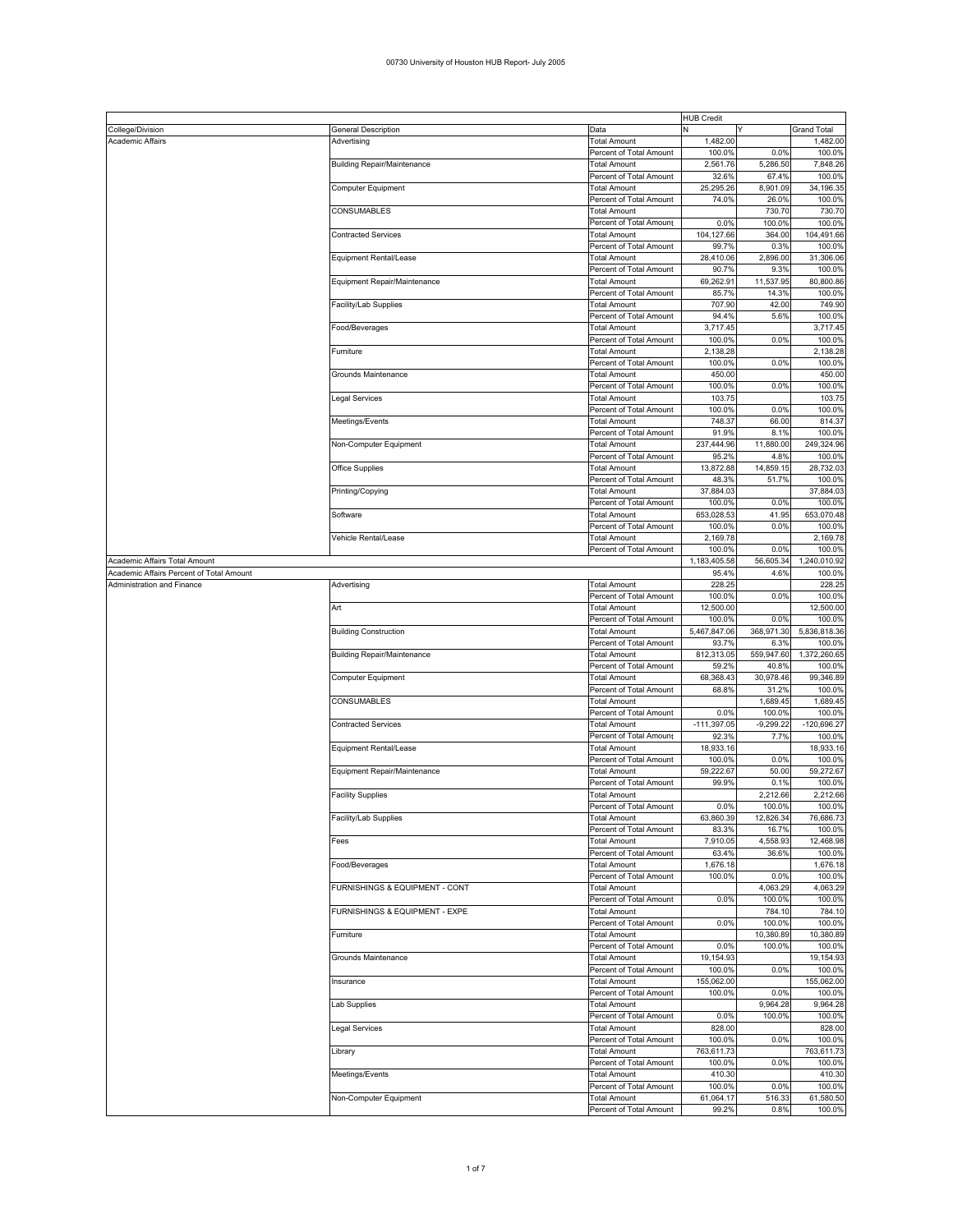## 00730 University of Houston HUB Report- July 2005

|                                          |                                    | <b>HUB Credit</b>       |               |             |                    |
|------------------------------------------|------------------------------------|-------------------------|---------------|-------------|--------------------|
| College/Division                         | General Description                | Data                    | N             | Y           | <b>Grand Total</b> |
| Academic Affairs                         | Advertising                        | <b>Total Amount</b>     | 1,482.00      |             | 1,482.00           |
|                                          |                                    | Percent of Total Amount | 100.0%        | 0.0%        | 100.0%             |
|                                          |                                    |                         |               |             |                    |
|                                          | <b>Building Repair/Maintenance</b> | Total Amount            | 2,561.76      | 5,286.50    | 7,848.26           |
|                                          |                                    | Percent of Total Amount | 32.6%         | 67.4%       | 100.0%             |
|                                          | Computer Equipment                 | Total Amount            | 25,295.26     | 8,901.09    | 34,196.35          |
|                                          |                                    | Percent of Total Amount | 74.0%         | 26.0%       | 100.0%             |
|                                          | CONSUMABLES                        |                         |               | 730.70      | 730.70             |
|                                          |                                    | Total Amount            |               |             |                    |
|                                          |                                    | Percent of Total Amount | 0.0%          | 100.0%      | 100.0%             |
|                                          | <b>Contracted Services</b>         | Total Amount            | 104,127.66    | 364.00      | 104,491.66         |
|                                          |                                    | Percent of Total Amount | 99.7%         | 0.3%        | 100.0%             |
|                                          |                                    |                         |               |             |                    |
|                                          | Equipment Rental/Lease             | Total Amount            | 28,410.06     | 2,896.00    | 31,306.06          |
|                                          |                                    | Percent of Total Amount | 90.7%         | 9.3%        | 100.0%             |
|                                          | Equipment Repair/Maintenance       | Total Amount            | 69,262.91     | 11,537.95   | 80,800.86          |
|                                          |                                    | Percent of Total Amount | 85.7%         | 14.3%       | 100.0%             |
|                                          |                                    |                         |               |             |                    |
|                                          | Facility/Lab Supplies              | Total Amount            | 707.90        | 42.00       | 749.90             |
|                                          |                                    | Percent of Total Amount | 94.4%         | 5.6%        | 100.0%             |
|                                          | Food/Beverages                     | <b>Total Amount</b>     | 3,717.45      |             | 3,717.45           |
|                                          |                                    | Percent of Total Amount | 100.0%        | 0.0%        | 100.0%             |
|                                          |                                    |                         |               |             |                    |
|                                          | Furniture                          | Total Amount            | 2,138.28      |             | 2,138.28           |
|                                          |                                    | Percent of Total Amount | 100.0%        | 0.0%        | 100.0%             |
|                                          | Grounds Maintenance                | Total Amount            | 450.00        |             | 450.00             |
|                                          |                                    |                         |               |             |                    |
|                                          |                                    | Percent of Total Amount | 100.0%        | 0.0%        | 100.0%             |
|                                          | Legal Services                     | Total Amount            | 103.75        |             | 103.75             |
|                                          |                                    | Percent of Total Amount | 100.0%        | 0.0%        | 100.0%             |
|                                          | Meetings/Events                    | Total Amount            | 748.37        | 66.00       | 814.37             |
|                                          |                                    |                         |               |             |                    |
|                                          |                                    | Percent of Total Amount | 91.9%         | 8.1%        | 100.0%             |
|                                          | Non-Computer Equipment             | Total Amount            | 237,444.96    | 11,880.00   | 249,324.96         |
|                                          |                                    | Percent of Total Amount | 95.2%         | 4.8%        | 100.0%             |
|                                          |                                    |                         |               |             |                    |
|                                          | Office Supplies                    | <b>Total Amount</b>     | 13,872.88     | 14,859.15   | 28,732.03          |
|                                          |                                    | Percent of Total Amount | 48.3%         | 51.7%       | 100.0%             |
|                                          | Printing/Copying                   | Total Amount            | 37,884.03     |             | 37,884.03          |
|                                          |                                    | Percent of Total Amount | 100.0%        | 0.0%        | 100.0%             |
|                                          |                                    |                         |               |             |                    |
|                                          | Software                           | Total Amount            | 653,028.53    | 41.95       | 653,070.48         |
|                                          |                                    | Percent of Total Amount | 100.0%        | 0.0%        | 100.0%             |
|                                          | Vehicle Rental/Lease               | Total Amount            | 2,169.78      |             | 2,169.78           |
|                                          |                                    | Percent of Total Amount | 100.0%        | 0.0%        | 100.0%             |
|                                          |                                    |                         |               |             |                    |
| Academic Affairs Total Amount            |                                    |                         | 1,183,405.58  | 56,605.34   | 1,240,010.92       |
| Academic Affairs Percent of Total Amount |                                    |                         | 95.4%         | 4.6%        | 100.0%             |
| Administration and Finance               | Advertising                        | Total Amount            | 228.25        |             | 228.25             |
|                                          |                                    |                         | 100.0%        | 0.0%        | 100.0%             |
|                                          |                                    | Percent of Total Amount |               |             |                    |
|                                          | Art                                | Total Amount            | 12,500.00     |             | 12,500.00          |
|                                          |                                    | Percent of Total Amount | 100.0%        | 0.0%        | 100.0%             |
|                                          |                                    |                         | 5,467,847.06  | 368,971.30  | 5,836,818.36       |
|                                          | <b>Building Construction</b>       | Total Amount            |               |             |                    |
|                                          |                                    | Percent of Total Amount | 93.7%         | 6.3%        | 100.0%             |
|                                          | <b>Building Repair/Maintenance</b> | Total Amount            | 812,313.05    | 559,947.60  | 1,372,260.65       |
|                                          |                                    | Percent of Total Amount | 59.2%         | 40.8%       | 100.0%             |
|                                          |                                    |                         |               |             |                    |
|                                          | Computer Equipment                 | Total Amount            | 68,368.43     | 30,978.46   | 99,346.89          |
|                                          |                                    | Percent of Total Amount | 68.8%         | 31.2%       | 100.0%             |
|                                          | <b>CONSUMABLES</b>                 | Total Amount            |               | 1,689.45    | 1,689.45           |
|                                          |                                    | Percent of Total Amount | 0.0%          |             |                    |
|                                          |                                    |                         |               | 100.0%      | 100.0%             |
|                                          | <b>Contracted Services</b>         | Total Amount            | $-111,397.05$ | $-9,299.22$ | $-120,696.27$      |
|                                          |                                    | Percent of Total Amount | 92.3%         | 7.7%        | 100.0%             |
|                                          | Equipment Rental/Lease             | Total Amount            | 18,933.16     |             | 18,933.16          |
|                                          |                                    |                         |               |             |                    |
|                                          |                                    | Percent of Total Amount | 100.0%        | 0.0%        | 100.0%             |
|                                          | Equipment Repair/Maintenance       | Total Amount            | 59,222.67     | 50.00       | 59,272.67          |
|                                          |                                    | Percent of Total Amount | 99.9%         | 0.1%        | 100.0%             |
|                                          | <b>Facility Supplies</b>           | Total Amount            |               | 2,212.66    | 2,212.66           |
|                                          |                                    |                         |               |             |                    |
|                                          |                                    | Percent of Total Amount | 0.0%          | 100.0%      | 100.0%             |
|                                          | Facility/Lab Supplies              | Total Amount            | 63,860.39     | 12,826.34   | 76,686.73          |
|                                          |                                    | Percent of Total Amount | 83.3%         | 16.7%       | 100.0%             |
|                                          | Fees                               | <b>Total Amount</b>     | 7,910.05      | 4,558.93    | 12,468.98          |
|                                          |                                    |                         |               |             |                    |
|                                          |                                    | Percent of Total Amount | 63.4%         | 36.6%       | 100.0%             |
|                                          | Food/Beverages                     | <b>Total Amount</b>     | 1,676.18      |             | 1,676.18           |
|                                          |                                    | Percent of Total Amount | 100.0%        | 0.0%        | 100.0%             |
|                                          | FURNISHINGS & EQUIPMENT - CONT     | Total Amount            |               | 4,063.29    | 4,063.29           |
|                                          |                                    |                         |               |             |                    |
|                                          |                                    | Percent of Total Amount | 0.0%          | 100.0%      | 100.0%             |
|                                          | FURNISHINGS & EQUIPMENT - EXPE     | Total Amount            |               | 784.10      | 784.10             |
|                                          |                                    | Percent of Total Amount | 0.0%          | 100.0%      | 100.0%             |
|                                          | Furniture                          | <b>Total Amount</b>     |               | 10,380.89   | 10,380.89          |
|                                          |                                    |                         |               |             |                    |
|                                          |                                    | Percent of Total Amount | 0.0%          | 100.0%      | 100.0%             |
|                                          | Grounds Maintenance                | <b>Total Amount</b>     | 19,154.93     |             | 19,154.93          |
|                                          |                                    | Percent of Total Amount | 100.0%        | 0.0%        | 100.0%             |
|                                          |                                    |                         |               |             | 155,062.00         |
|                                          | Insurance                          | <b>Total Amount</b>     | 155,062.00    |             |                    |
|                                          |                                    | Percent of Total Amount | 100.0%        | 0.0%        | 100.0%             |
|                                          | Lab Supplies                       | <b>Total Amount</b>     |               | 9,964.28    | 9,964.28           |
|                                          |                                    | Percent of Total Amount | 0.0%          | 100.0%      | 100.0%             |
|                                          |                                    |                         |               |             |                    |
|                                          | Legal Services                     | <b>Total Amount</b>     | 828.00        |             | 828.00             |
|                                          |                                    | Percent of Total Amount | 100.0%        | 0.0%        | 100.0%             |
|                                          | Library                            | <b>Total Amount</b>     | 763,611.73    |             | 763,611.73         |
|                                          |                                    | Percent of Total Amount | 100.0%        | 0.0%        | 100.0%             |
|                                          |                                    |                         |               |             |                    |
|                                          | Meetings/Events                    | Total Amount            | 410.30        |             | 410.30             |
|                                          |                                    | Percent of Total Amount | 100.0%        | 0.0%        | 100.0%             |
|                                          | Non-Computer Equipment             | <b>Total Amount</b>     | 61,064.17     | 516.33      | 61,580.50          |
|                                          |                                    | Percent of Total Amount | 99.2%         | 0.8%        | 100.0%             |
|                                          |                                    |                         |               |             |                    |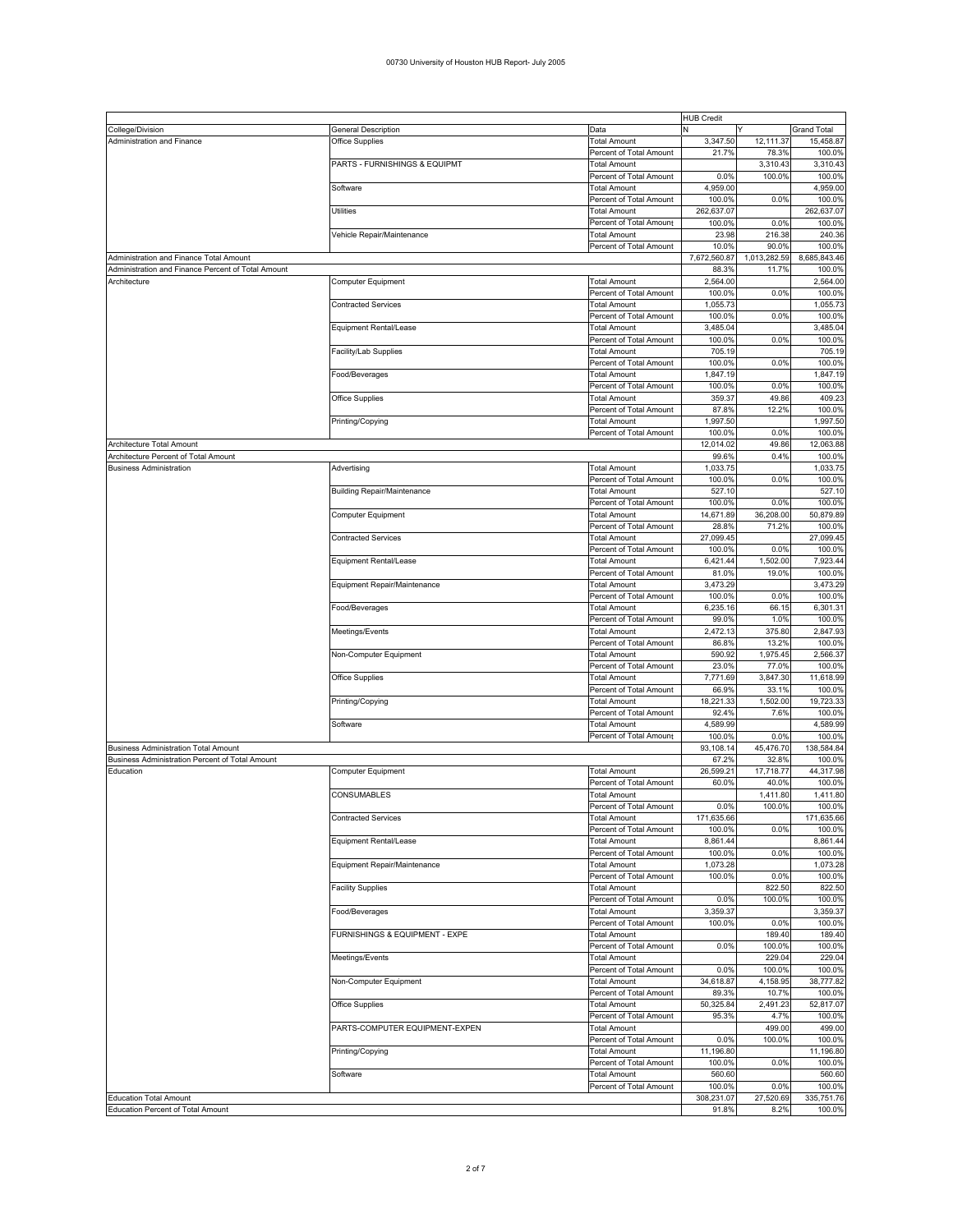|                                                    |                                    |                         | <b>HUB Credit</b> |              |                    |
|----------------------------------------------------|------------------------------------|-------------------------|-------------------|--------------|--------------------|
| College/Division                                   | General Description                | Data                    | N                 |              | <b>Grand Total</b> |
| Administration and Finance                         | Office Supplies                    | <b>Total Amount</b>     | 3,347.50          | 12,111.37    | 15,458.87          |
|                                                    |                                    |                         |                   |              |                    |
|                                                    |                                    | Percent of Total Amount | 21.7%             | 78.3%        | 100.0%             |
|                                                    | PARTS - FURNISHINGS & EQUIPMT      | <b>Total Amount</b>     |                   | 3,310.43     | 3,310.43           |
|                                                    |                                    | Percent of Total Amount | 0.0%              | 100.0%       | 100.0%             |
|                                                    | Software                           | <b>Total Amount</b>     | 4,959.00          |              | 4,959.00           |
|                                                    |                                    | Percent of Total Amount | 100.0%            | 0.0%         | 100.0%             |
|                                                    | <b>Utilities</b>                   | <b>Total Amount</b>     | 262,637.07        |              | 262,637.07         |
|                                                    |                                    |                         |                   |              |                    |
|                                                    |                                    | Percent of Total Amount | 100.0%            | 0.0%         | 100.0%             |
|                                                    | Vehicle Repair/Maintenance         | <b>Total Amount</b>     | 23.98             | 216.38       | 240.36             |
|                                                    |                                    | Percent of Total Amount | 10.0%             | 90.0%        | 100.0%             |
| Administration and Finance Total Amount            |                                    |                         | 7,672,560.87      | 1,013,282.59 | 8,685,843.46       |
|                                                    |                                    |                         |                   |              |                    |
| Administration and Finance Percent of Total Amount |                                    |                         | 88.3%             | 11.7%        | 100.0%             |
| Architecture                                       | Computer Equipment                 | <b>Total Amount</b>     | 2.564.00          |              | 2,564.00           |
|                                                    |                                    | Percent of Total Amount | 100.0%            | 0.0%         | 100.0%             |
|                                                    | <b>Contracted Services</b>         | <b>Total Amount</b>     | 1,055.73          |              | 1,055.73           |
|                                                    |                                    |                         |                   |              |                    |
|                                                    |                                    | Percent of Total Amount | 100.0%            | 0.0%         | 100.0%             |
|                                                    | Equipment Rental/Lease             | <b>Total Amount</b>     | 3.485.04          |              | 3,485.04           |
|                                                    |                                    | Percent of Total Amount | 100.0%            | 0.0%         | 100.0%             |
|                                                    | Facility/Lab Supplies              | <b>Total Amount</b>     | 705.19            |              | 705.19             |
|                                                    |                                    |                         |                   |              |                    |
|                                                    |                                    | Percent of Total Amount | 100.0%            | 0.0%         | 100.0%             |
|                                                    | Food/Beverages                     | <b>Total Amount</b>     | 1,847.19          |              | 1,847.19           |
|                                                    |                                    | Percent of Total Amount | 100.0%            | 0.0%         | 100.0%             |
|                                                    |                                    |                         |                   |              | 409.23             |
|                                                    | Office Supplies                    | <b>Total Amount</b>     | 359.37            | 49.86        |                    |
|                                                    |                                    | Percent of Total Amount | 87.8%             | 12.2%        | 100.0%             |
|                                                    | Printing/Copying                   | <b>Total Amount</b>     | 1,997.50          |              | 1,997.50           |
|                                                    |                                    | Percent of Total Amount | 100.0%            | 0.0%         | 100.0%             |
|                                                    |                                    |                         |                   |              |                    |
| Architecture Total Amount                          |                                    |                         | 12,014.02         | 49.86        | 12,063.88          |
| Architecture Percent of Total Amount               |                                    |                         | 99.6%             | 0.4%         | 100.0%             |
| <b>Business Administration</b>                     | Advertising                        | <b>Total Amount</b>     | 1,033.75          |              | 1,033.75           |
|                                                    |                                    | Percent of Total Amount | 100.0%            | 0.0%         | 100.0%             |
|                                                    |                                    |                         |                   |              |                    |
|                                                    | <b>Building Repair/Maintenance</b> | <b>Total Amount</b>     | 527.10            |              | 527.10             |
|                                                    |                                    | Percent of Total Amount | 100.0%            | 0.0%         | 100.0%             |
|                                                    | Computer Equipment                 | <b>Total Amount</b>     | 14,671.89         | 36,208.00    | 50,879.89          |
|                                                    |                                    | Percent of Total Amount | 28.8%             | 71.2%        | 100.0%             |
|                                                    |                                    |                         |                   |              |                    |
|                                                    | <b>Contracted Services</b>         | <b>Total Amount</b>     | 27,099.45         |              | 27,099.45          |
|                                                    |                                    | Percent of Total Amount | 100.0%            | 0.0%         | 100.0%             |
|                                                    | Equipment Rental/Lease             | <b>Total Amount</b>     | 6.421.44          | 1,502.00     | 7,923.44           |
|                                                    |                                    |                         |                   |              |                    |
|                                                    |                                    | Percent of Total Amount | 81.0%             | 19.0%        | 100.0%             |
|                                                    | Equipment Repair/Maintenance       | <b>Total Amount</b>     | 3,473.29          |              | 3,473.29           |
|                                                    |                                    | Percent of Total Amount | 100.0%            | 0.0%         | 100.0%             |
|                                                    | Food/Beverages                     | <b>Total Amount</b>     | 6,235.16          | 66.15        | 6,301.31           |
|                                                    |                                    |                         |                   |              |                    |
|                                                    |                                    | Percent of Total Amount | 99.0%             | 1.0%         | 100.0%             |
|                                                    | Meetings/Events                    | <b>Total Amount</b>     | 2,472.13          | 375.80       | 2,847.93           |
|                                                    |                                    | Percent of Total Amount | 86.8%             | 13.2%        | 100.0%             |
|                                                    |                                    |                         | 590.92            | 1,975.45     | 2,566.37           |
|                                                    | Non-Computer Equipment             | <b>Total Amount</b>     |                   |              |                    |
|                                                    |                                    | Percent of Total Amount | 23.0%             | 77.0%        | 100.0%             |
|                                                    | Office Supplies                    | <b>Total Amount</b>     | 7,771.69          | 3,847.30     | 11,618.99          |
|                                                    |                                    | Percent of Total Amount | 66.9%             | 33.1%        | 100.0%             |
|                                                    |                                    | <b>Total Amount</b>     | 18,221.33         | 1,502.00     | 19,723.33          |
|                                                    | Printing/Copying                   |                         |                   |              |                    |
|                                                    |                                    | Percent of Total Amount | 92.4%             | 7.6%         | 100.0%             |
|                                                    | Software                           | <b>Total Amount</b>     | 4,589.99          |              | 4,589.99           |
|                                                    |                                    | Percent of Total Amount | 100.0%            | 0.0%         | 100.0%             |
|                                                    |                                    |                         |                   |              |                    |
| <b>Business Administration Total Amount</b>        |                                    |                         | 93,108.14         | 45,476.70    | 138,584.84         |
| Business Administration Percent of Total Amount    |                                    |                         | 67.2%             | 32.8%        | 100.0%             |
| Education                                          | Computer Equipment                 | <b>Total Amount</b>     | 26,599.21         | 17,718.77    | 44,317.98          |
|                                                    |                                    | Percent of Total Amount | 60.0%             | 40.0%        | 100.0%             |
|                                                    |                                    |                         |                   | 1,411.80     |                    |
|                                                    | <b>CONSUMABLES</b>                 | Total Amount            |                   |              | 1,411.80           |
|                                                    |                                    | Percent of Total Amount | 0.0%              | 100.0%       | 100.0%             |
|                                                    | <b>Contracted Services</b>         | <b>Total Amount</b>     | 171,635.66        |              | 171,635.66         |
|                                                    |                                    | Percent of Total Amount | 100.0%            | 0.0%         | 100.0%             |
|                                                    | Equipment Rental/Lease             | Total Amount            | 8,861.44          |              | 8,861.44           |
|                                                    |                                    |                         |                   |              |                    |
|                                                    |                                    | Percent of Total Amount | 100.0%            | 0.0%         | 100.0%             |
|                                                    | Equipment Repair/Maintenance       | <b>Total Amount</b>     | 1,073.28          |              | 1,073.28           |
|                                                    |                                    | Percent of Total Amount | 100.0%            | 0.0%         | 100.0%             |
|                                                    | <b>Facility Supplies</b>           | Total Amount            |                   | 822.50       | 822.50             |
|                                                    |                                    |                         | 0.0%              |              | 100.0%             |
|                                                    |                                    | Percent of Total Amount |                   | 100.0%       |                    |
|                                                    | Food/Beverages                     | Total Amount            | 3,359.37          |              | 3,359.37           |
|                                                    |                                    | Percent of Total Amount | 100.0%            | 0.0%         | 100.0%             |
|                                                    | FURNISHINGS & EQUIPMENT - EXPE     | Total Amount            |                   | 189.40       | 189.40             |
|                                                    |                                    |                         | 0.0%              | 100.0%       |                    |
|                                                    |                                    | Percent of Total Amount |                   |              | 100.0%             |
|                                                    | Meetings/Events                    | <b>Total Amount</b>     |                   | 229.04       | 229.04             |
|                                                    |                                    | Percent of Total Amount | 0.0%              | 100.0%       | 100.0%             |
|                                                    | Non-Computer Equipment             | <b>Total Amount</b>     | 34,618.87         | 4,158.95     | 38,777.82          |
|                                                    |                                    |                         |                   |              |                    |
|                                                    |                                    | Percent of Total Amount | 89.3%             | 10.7%        | 100.0%             |
|                                                    | Office Supplies                    | <b>Total Amount</b>     | 50,325.84         | 2,491.23     | 52,817.07          |
|                                                    |                                    | Percent of Total Amount | 95.3%             | 4.7%         | 100.0%             |
|                                                    | PARTS-COMPUTER EQUIPMENT-EXPEN     | Total Amount            |                   | 499.00       | 499.00             |
|                                                    |                                    |                         |                   |              |                    |
|                                                    |                                    | Percent of Total Amount | 0.0%              | 100.0%       | 100.0%             |
|                                                    | Printing/Copying                   | <b>Total Amount</b>     | 11,196.80         |              | 11,196.80          |
|                                                    |                                    | Percent of Total Amount | 100.0%            | 0.0%         | 100.0%             |
|                                                    | Software                           | <b>Total Amount</b>     | 560.60            |              | 560.60             |
|                                                    |                                    |                         |                   |              |                    |
|                                                    |                                    | Percent of Total Amount | 100.0%            | 0.0%         | 100.0%             |
| <b>Education Total Amount</b>                      |                                    |                         | 308,231.07        | 27,520.69    | 335,751.76         |
|                                                    |                                    |                         |                   |              |                    |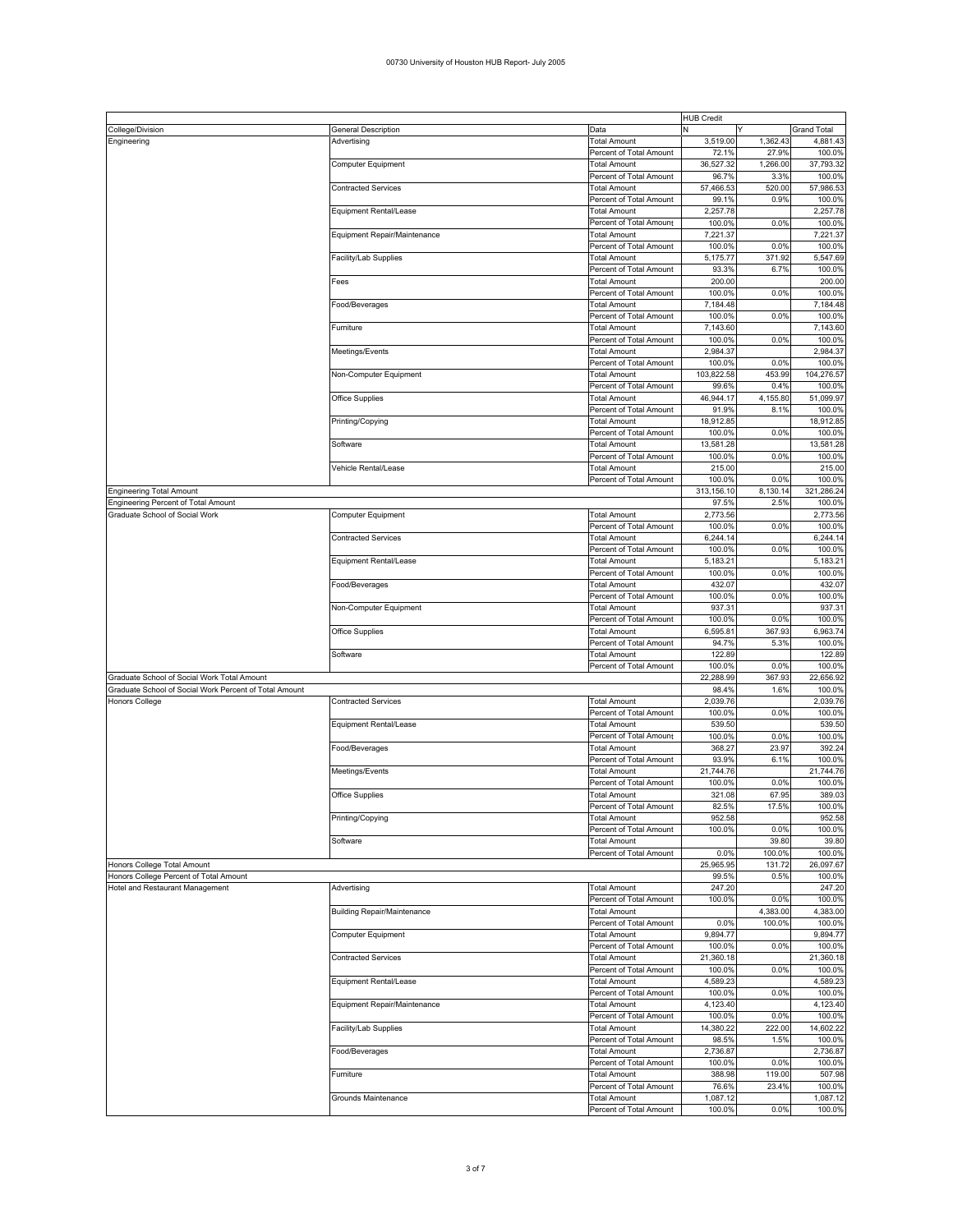## 00730 University of Houston HUB Report- July 2005

|                                                        |                                    |                         | <b>HUB Credit</b> |          |                    |
|--------------------------------------------------------|------------------------------------|-------------------------|-------------------|----------|--------------------|
| College/Division                                       | General Description                | Data                    | N                 |          | <b>Grand Total</b> |
| Engineering                                            | Advertising                        | <b>Total Amount</b>     | 3,519.00          | 1,362.43 | 4,881.43           |
|                                                        |                                    | Percent of Total Amount | 72.1%             | 27.9%    | 100.0%             |
|                                                        | Computer Equipment                 | <b>Total Amount</b>     | 36,527.32         | 1,266.00 | 37,793.32          |
|                                                        |                                    |                         | 96.7%             | 3.3%     |                    |
|                                                        |                                    | Percent of Total Amount |                   |          | 100.0%             |
|                                                        | <b>Contracted Services</b>         | Total Amount            | 57,466.53         | 520.00   | 57,986.53          |
|                                                        |                                    | Percent of Total Amount | 99.1%             | 0.9%     | 100.0%             |
|                                                        | Equipment Rental/Lease             | Total Amount            | 2,257.78          |          | 2,257.78           |
|                                                        |                                    | Percent of Total Amount | 100.0%            | 0.0%     | 100.0%             |
|                                                        | Equipment Repair/Maintenance       | Total Amount            | 7,221.37          |          | 7,221.37           |
|                                                        |                                    | Percent of Total Amount | 100.0%            | 0.0%     | 100.0%             |
|                                                        |                                    |                         | 5,175.77          | 371.92   | 5,547.69           |
|                                                        | Facility/Lab Supplies              | Total Amount            |                   |          |                    |
|                                                        |                                    | Percent of Total Amount | 93.3%             | 6.7%     | 100.0%             |
|                                                        | Fees                               | Total Amount            | 200.00            |          | 200.00             |
|                                                        |                                    | Percent of Total Amount | 100.0%            | 0.0%     | 100.0%             |
|                                                        | Food/Beverages                     | Total Amount            | 7,184.48          |          | 7,184.48           |
|                                                        |                                    | Percent of Total Amount | 100.0%            | 0.0%     | 100.0%             |
|                                                        | Furniture                          | Total Amount            | 7,143.60          |          | 7,143.60           |
|                                                        |                                    | Percent of Total Amount | 100.0%            | 0.0%     | 100.0%             |
|                                                        |                                    |                         |                   |          |                    |
|                                                        | Meetings/Events                    | Total Amount            | 2,984.37          |          | 2,984.37           |
|                                                        |                                    | Percent of Total Amount | 100.0%            | 0.0%     | 100.0%             |
|                                                        | Non-Computer Equipment             | Total Amount            | 103,822.58        | 453.99   | 104,276.57         |
|                                                        |                                    | Percent of Total Amount | 99.6%             | 0.4%     | 100.0%             |
|                                                        | Office Supplies                    | Total Amount            | 46,944.17         | 4,155.80 | 51,099.97          |
|                                                        |                                    | Percent of Total Amount | 91.9%             | 8.1%     | 100.0%             |
|                                                        | Printing/Copying                   | Total Amount            | 18,912.85         |          | 18,912.85          |
|                                                        |                                    | Percent of Total Amount | 100.0%            | 0.0%     | 100.0%             |
|                                                        |                                    |                         | 13,581.28         |          | 13,581.28          |
|                                                        | Software                           | Total Amount            |                   |          |                    |
|                                                        |                                    | Percent of Total Amount | 100.0%            | 0.0%     | 100.0%             |
|                                                        | Vehicle Rental/Lease               | Total Amount            | 215.00            |          | 215.00             |
|                                                        |                                    | Percent of Total Amount | 100.0%            | 0.0%     | 100.0%             |
| <b>Engineering Total Amount</b>                        |                                    |                         | 313,156.10        | 8,130.14 | 321,286.24         |
| Engineering Percent of Total Amount                    |                                    |                         | 97.5%             | 2.5%     | 100.0%             |
| Graduate School of Social Work                         | Computer Equipment                 | <b>Total Amount</b>     | 2,773.56          |          | 2,773.56           |
|                                                        |                                    | Percent of Total Amount | 100.0%            | 0.0%     | 100.0%             |
|                                                        |                                    |                         |                   |          |                    |
|                                                        | <b>Contracted Services</b>         | Total Amount            | 6,244.14          |          | 6,244.14           |
|                                                        |                                    | Percent of Total Amount | 100.0%            | 0.0%     | 100.0%             |
|                                                        | Equipment Rental/Lease             | Total Amount            | 5,183.21          |          | 5,183.21           |
|                                                        |                                    | Percent of Total Amount | 100.0%            | 0.0%     | 100.0%             |
|                                                        | Food/Beverages                     | Total Amount            | 432.07            |          | 432.07             |
|                                                        |                                    | Percent of Total Amount | 100.0%            | 0.0%     | 100.0%             |
|                                                        | Non-Computer Equipment             | Total Amount            | 937.31            |          | 937.31             |
|                                                        |                                    |                         |                   |          |                    |
|                                                        |                                    | Percent of Total Amount | 100.0%            | 0.0%     | 100.0%             |
|                                                        | Office Supplies                    | Total Amount            | 6,595.81          | 367.93   | 6,963.74           |
|                                                        |                                    | Percent of Total Amount | 94.7%             | 5.3%     | 100.0%             |
|                                                        | Software                           | Total Amount            | 122.89            |          | 122.89             |
|                                                        |                                    | Percent of Total Amount | 100.0%            | 0.0%     | 100.0%             |
| Graduate School of Social Work Total Amount            |                                    |                         | 22,288.99         | 367.93   | 22,656.92          |
| Graduate School of Social Work Percent of Total Amount |                                    |                         | 98.4%             | 1.6%     | 100.0%             |
| Honors College                                         | <b>Contracted Services</b>         | Total Amount            | 2,039.76          |          | 2,039.76           |
|                                                        |                                    |                         |                   |          |                    |
|                                                        |                                    | Percent of Total Amount | 100.0%            | 0.0%     | 100.0%             |
|                                                        | Equipment Rental/Lease             | Total Amount            | 539.50            |          | 539.50             |
|                                                        |                                    | Percent of Total Amount | 100.0%            | 0.0%     | 100.0%             |
|                                                        | Food/Beverages                     | <b>Total Amount</b>     | 368.27            | 23.97    | 392.24             |
|                                                        |                                    | Percent of Total Amount | 93.9%             | 6.1%     | 100.0%             |
|                                                        | Meetings/Events                    | Total Amount            | 21,744.76         |          | 21,744.76          |
|                                                        |                                    | Percent of Total Amount | 100.0%            | 0.0%     | 100.0%             |
|                                                        |                                    |                         |                   |          |                    |
|                                                        | Office Supplies                    | Total Amount            | 321.08            | 67.95    | 389.03             |
|                                                        |                                    | Percent of Total Amount | 82.5%             | 17.5%    | 100.0%             |
|                                                        | Printing/Copying                   | Total Amount            | 952.58            |          | 952.58             |
|                                                        |                                    | Percent of Total Amount | 100.0%            | 0.0%     | 100.0%             |
|                                                        | Software                           | <b>Total Amount</b>     |                   | 39.80    | 39.80              |
|                                                        |                                    | Percent of Total Amount | 0.0%              | 100.0%   | 100.0%             |
| Honors College Total Amount                            |                                    |                         | 25,965.95         | 131.72   | 26,097.67          |
| Honors College Percent of Total Amount                 |                                    |                         | 99.5%             | 0.5%     | 100.0%             |
| Hotel and Restaurant Management                        | Advertising                        | <b>Total Amount</b>     | 247.20            |          | 247.20             |
|                                                        |                                    | Percent of Total Amount | 100.0%            | 0.0%     | 100.0%             |
|                                                        |                                    |                         |                   |          |                    |
|                                                        | <b>Building Repair/Maintenance</b> | <b>Total Amount</b>     |                   | 4,383.00 | 4,383.00           |
|                                                        |                                    | Percent of Total Amount | 0.0%              | 100.0%   | 100.0%             |
|                                                        | Computer Equipment                 | <b>Total Amount</b>     | 9,894.77          |          | 9,894.77           |
|                                                        |                                    | Percent of Total Amount | 100.0%            | 0.0%     | 100.0%             |
|                                                        | <b>Contracted Services</b>         | <b>Total Amount</b>     | 21,360.18         |          | 21,360.18          |
|                                                        |                                    | Percent of Total Amount | 100.0%            | 0.0%     | 100.0%             |
|                                                        | Equipment Rental/Lease             | <b>Total Amount</b>     | 4,589.23          |          | 4,589.23           |
|                                                        |                                    | Percent of Total Amount | 100.0%            | 0.0%     | 100.0%             |
|                                                        | Equipment Repair/Maintenance       | <b>Total Amount</b>     | 4,123.40          |          | 4,123.40           |
|                                                        |                                    |                         |                   |          |                    |
|                                                        |                                    | Percent of Total Amount | 100.0%            | 0.0%     | 100.0%             |
|                                                        | Facility/Lab Supplies              | <b>Total Amount</b>     | 14,380.22         | 222.00   | 14,602.22          |
|                                                        |                                    | Percent of Total Amount | 98.5%             | 1.5%     | 100.0%             |
|                                                        | Food/Beverages                     | <b>Total Amount</b>     | 2,736.87          |          | 2,736.87           |
|                                                        |                                    | Percent of Total Amount | 100.0%            | 0.0%     | 100.0%             |
|                                                        | Furniture                          | <b>Total Amount</b>     | 388.98            | 119.00   | 507.98             |
|                                                        |                                    | Percent of Total Amount | 76.6%             | 23.4%    | 100.0%             |
|                                                        | Grounds Maintenance                | Total Amount            | 1,087.12          |          | 1,087.12           |
|                                                        |                                    | Percent of Total Amount | 100.0%            | 0.0%     | 100.0%             |
|                                                        |                                    |                         |                   |          |                    |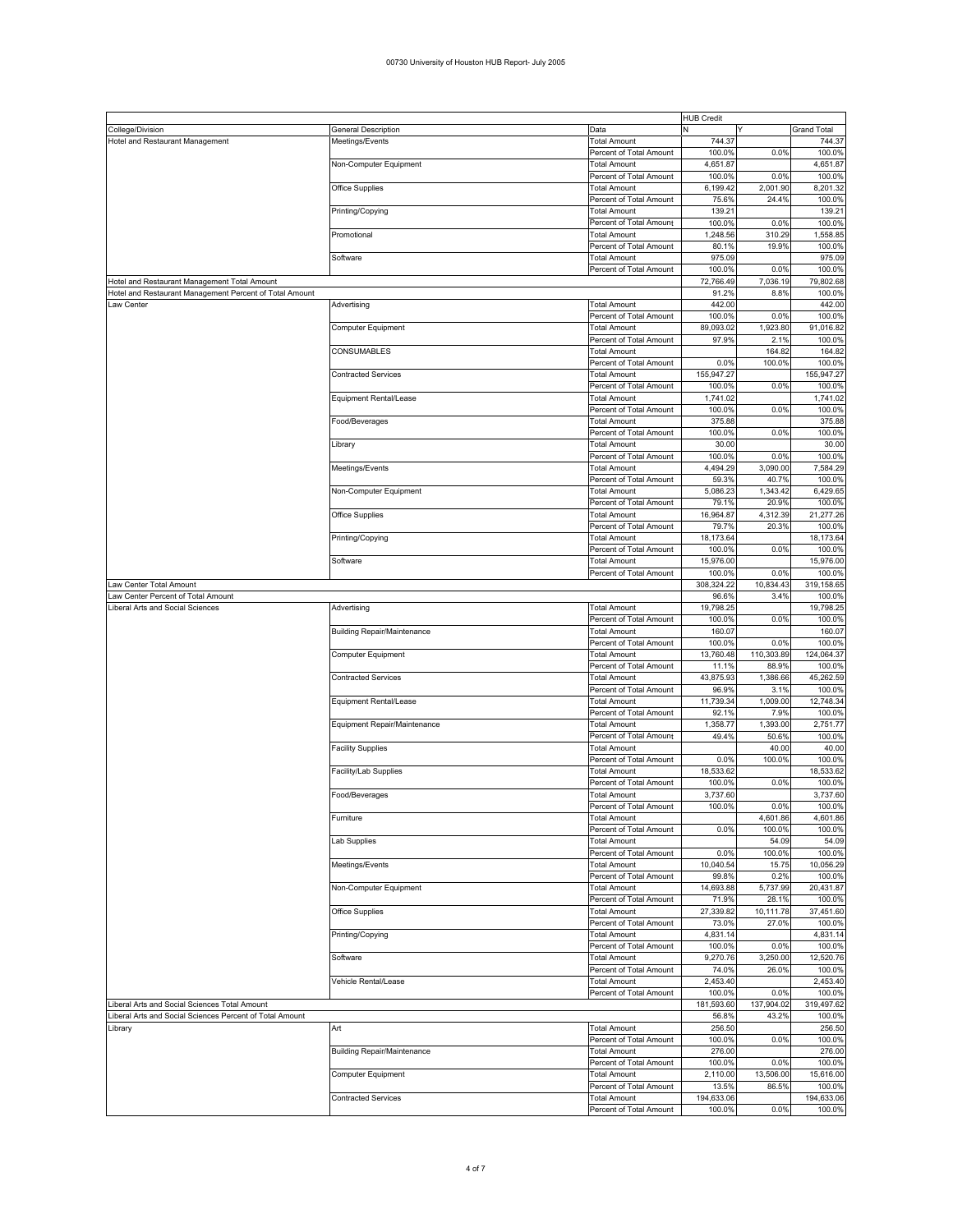## 00730 University of Houston HUB Report- July 2005

|                                                          |                                    |                         | <b>HUB Credit</b> |            |                    |
|----------------------------------------------------------|------------------------------------|-------------------------|-------------------|------------|--------------------|
| College/Division                                         | General Description                | Data                    | N                 |            | <b>Grand Total</b> |
| Hotel and Restaurant Management                          | Meetings/Events                    | <b>Total Amount</b>     | 744.37            |            | 744.37             |
|                                                          |                                    | Percent of Total Amount | 100.0%            | 0.0%       | 100.0%             |
|                                                          | Non-Computer Equipment             | <b>Total Amount</b>     | 4,651.87          |            | 4,651.87           |
|                                                          |                                    | Percent of Total Amount | 100.0%            | 0.0%       | 100.0%             |
|                                                          | <b>Office Supplies</b>             | Total Amount            | 6,199.42          | 2,001.90   | 8,201.32           |
|                                                          |                                    | Percent of Total Amount | 75.6%             | 24.4%      | 100.0%             |
|                                                          |                                    |                         | 139.21            |            | 139.21             |
|                                                          | Printing/Copying                   | Total Amount            |                   |            |                    |
|                                                          |                                    | Percent of Total Amount | 100.0%            | 0.0%       | 100.0%             |
|                                                          | Promotional                        | <b>Total Amount</b>     | 1,248.56          | 310.29     | 1,558.85           |
|                                                          |                                    | Percent of Total Amount | 80.1%             | 19.9%      | 100.0%             |
|                                                          | Software                           | <b>Total Amount</b>     | 975.09            |            | 975.09             |
|                                                          |                                    | Percent of Total Amount | 100.0%            | 0.0%       | 100.0%             |
| Hotel and Restaurant Management Total Amount             |                                    |                         | 72,766.49         | 7,036.19   | 79,802.68          |
| Hotel and Restaurant Management Percent of Total Amount  |                                    |                         | 91.2%             | 8.8%       | 100.0%             |
|                                                          |                                    |                         |                   |            |                    |
| Law Center                                               | Advertising                        | Total Amount            | 442.00            |            | 442.00             |
|                                                          |                                    | Percent of Total Amount | 100.0%            | 0.0%       | 100.0%             |
|                                                          | Computer Equipment                 | <b>Total Amount</b>     | 89,093.02         | 1,923.80   | 91,016.82          |
|                                                          |                                    | Percent of Total Amount | 97.9%             | 2.1%       | 100.0%             |
|                                                          | CONSUMABLES                        | <b>Total Amount</b>     |                   | 164.82     | 164.82             |
|                                                          |                                    | Percent of Total Amount | 0.0%              | 100.0%     | 100.0%             |
|                                                          | <b>Contracted Services</b>         | Total Amount            | 155,947.27        |            | 155,947.27         |
|                                                          |                                    | Percent of Total Amount | 100.0%            | 0.0%       | 100.0%             |
|                                                          |                                    |                         |                   |            |                    |
|                                                          | Equipment Rental/Lease             | Total Amount            | 1,741.02          |            | 1,741.02           |
|                                                          |                                    | Percent of Total Amount | 100.0%            | 0.0%       | 100.0%             |
|                                                          | Food/Beverages                     | <b>Total Amount</b>     | 375.88            |            | 375.88             |
|                                                          |                                    | Percent of Total Amount | 100.0%            | 0.0%       | 100.0%             |
|                                                          | Library                            | <b>Total Amount</b>     | 30.00             |            | 30.00              |
|                                                          |                                    | Percent of Total Amount | 100.0%            | 0.0%       | 100.0%             |
|                                                          | Meetings/Events                    | Total Amount            | 4,494.29          | 3,090.00   | 7,584.29           |
|                                                          |                                    |                         |                   |            |                    |
|                                                          |                                    | Percent of Total Amount | 59.3%             | 40.7%      | 100.0%             |
|                                                          | Non-Computer Equipment             | Total Amount            | 5,086.23          | 1,343.42   | 6,429.65           |
|                                                          |                                    | Percent of Total Amount | 79.1%             | 20.9%      | 100.0%             |
|                                                          | Office Supplies                    | <b>Total Amount</b>     | 16,964.87         | 4,312.39   | 21,277.26          |
|                                                          |                                    | Percent of Total Amount | 79.7%             | 20.3%      | 100.0%             |
|                                                          | Printing/Copying                   | Total Amount            | 18,173.64         |            | 18,173.64          |
|                                                          |                                    | Percent of Total Amount | 100.0%            | 0.0%       | 100.0%             |
|                                                          | Software                           | <b>Total Amount</b>     | 15,976.00         |            | 15,976.00          |
|                                                          |                                    |                         |                   |            |                    |
|                                                          |                                    | Percent of Total Amount | 100.0%            | 0.0%       | 100.0%             |
| Law Center Total Amount                                  |                                    |                         | 308,324.22        | 10,834.43  | 319,158.65         |
| Law Center Percent of Total Amount                       |                                    |                         | 96.6%             | 3.4%       | 100.0%             |
| Liberal Arts and Social Sciences                         | Advertising                        | <b>Total Amount</b>     | 19,798.25         |            | 19,798.25          |
|                                                          |                                    | Percent of Total Amount | 100.0%            | 0.0%       | 100.0%             |
|                                                          | <b>Building Repair/Maintenance</b> | <b>Total Amount</b>     | 160.07            |            | 160.07             |
|                                                          |                                    | Percent of Total Amount | 100.0%            | 0.0%       | 100.0%             |
|                                                          |                                    |                         |                   |            |                    |
|                                                          | Computer Equipment                 | Total Amount            | 13,760.48         | 110,303.89 | 124,064.37         |
|                                                          |                                    | Percent of Total Amount | 11.1%             | 88.9%      | 100.0%             |
|                                                          | Contracted Services                | Total Amount            | 43,875.93         | 1,386.66   | 45,262.59          |
|                                                          |                                    | Percent of Total Amount | 96.9%             | 3.1%       | 100.0%             |
|                                                          | Equipment Rental/Lease             | Total Amount            | 11,739.34         | 1,009.00   | 12,748.34          |
|                                                          |                                    | Percent of Total Amount | 92.1%             | 7.9%       | 100.0%             |
|                                                          | Equipment Repair/Maintenance       | Total Amount            | 1,358.77          | 1,393.00   | 2,751.77           |
|                                                          |                                    |                         |                   |            |                    |
|                                                          |                                    | Percent of Total Amount | 49.4%             | 50.6%      | 100.0%             |
|                                                          | <b>Facility Supplies</b>           | <b>Total Amount</b>     |                   | 40.00      | 40.00              |
|                                                          |                                    | Percent of Total Amount | 0.0%              | 100.0%     | 100.0%             |
|                                                          | Facility/Lab Supplies              | Total Amount            | 18,533.62         |            | 18,533.62          |
|                                                          |                                    | Percent of Total Amount | 100.0%            | 0.0%       | 100.0%             |
|                                                          | Food/Beverages                     | Total Amount            | 3,737.60          |            | 3,737.60           |
|                                                          |                                    | Percent of Total Amount | 100.0%            | 0.0%       | 100.0%             |
|                                                          | Furniture                          | Total Amount            |                   | 4,601.86   | 4,601.86           |
|                                                          |                                    |                         |                   |            |                    |
|                                                          |                                    | Percent of Total Amount | 0.0%              | 100.0%     | 100.0%             |
|                                                          | Lab Supplies                       | <b>Total Amount</b>     |                   | 54.09      | 54.09              |
|                                                          |                                    | Percent of Total Amount | 0.0%              | 100.0%     | 100.0%             |
|                                                          | Meetings/Events                    | <b>Total Amount</b>     | 10,040.54         | 15.75      | 10,056.29          |
|                                                          |                                    | Percent of Total Amount | 99.8%             | 0.2%       | 100.0%             |
|                                                          | Non-Computer Equipment             | <b>Total Amount</b>     | 14,693.88         | 5,737.99   | 20,431.87          |
|                                                          |                                    | Percent of Total Amount | 71.9%             | 28.1%      | 100.0%             |
|                                                          | Office Supplies                    | <b>Total Amount</b>     | 27,339.82         | 10,111.78  | 37,451.60          |
|                                                          |                                    |                         | 73.0%             | 27.0%      | 100.0%             |
|                                                          |                                    | Percent of Total Amount |                   |            |                    |
|                                                          | Printing/Copying                   | <b>Total Amount</b>     | 4,831.14          |            | 4,831.14           |
|                                                          |                                    | Percent of Total Amount | 100.0%            | 0.0%       | 100.0%             |
|                                                          | Software                           | <b>Total Amount</b>     | 9,270.76          | 3,250.00   | 12,520.76          |
|                                                          |                                    | Percent of Total Amount | 74.0%             | 26.0%      | 100.0%             |
|                                                          | Vehicle Rental/Lease               | <b>Total Amount</b>     | 2,453.40          |            | 2,453.40           |
|                                                          |                                    | Percent of Total Amount | 100.0%            | 0.0%       | 100.0%             |
| Liberal Arts and Social Sciences Total Amount            |                                    |                         | 181,593.60        | 137,904.02 | 319,497.62         |
|                                                          |                                    |                         |                   | 43.2%      |                    |
| Liberal Arts and Social Sciences Percent of Total Amount |                                    |                         | 56.8%             |            | 100.0%             |
| Library                                                  | Art                                | Total Amount            | 256.50            |            | 256.50             |
|                                                          |                                    | Percent of Total Amount | 100.0%            | 0.0%       | 100.0%             |
|                                                          | <b>Building Repair/Maintenance</b> | <b>Total Amount</b>     | 276.00            |            | 276.00             |
|                                                          |                                    | Percent of Total Amount | 100.0%            | 0.0%       | 100.0%             |
|                                                          | Computer Equipment                 | <b>Total Amount</b>     | 2,110.00          | 13,506.00  | 15,616.00          |
|                                                          |                                    | Percent of Total Amount | 13.5%             | 86.5%      | 100.0%             |
|                                                          |                                    |                         |                   |            |                    |
|                                                          | Contracted Services                | <b>Total Amount</b>     | 194,633.06        |            | 194,633.06         |
|                                                          |                                    | Percent of Total Amount | 100.0%            | 0.0%       | 100.0%             |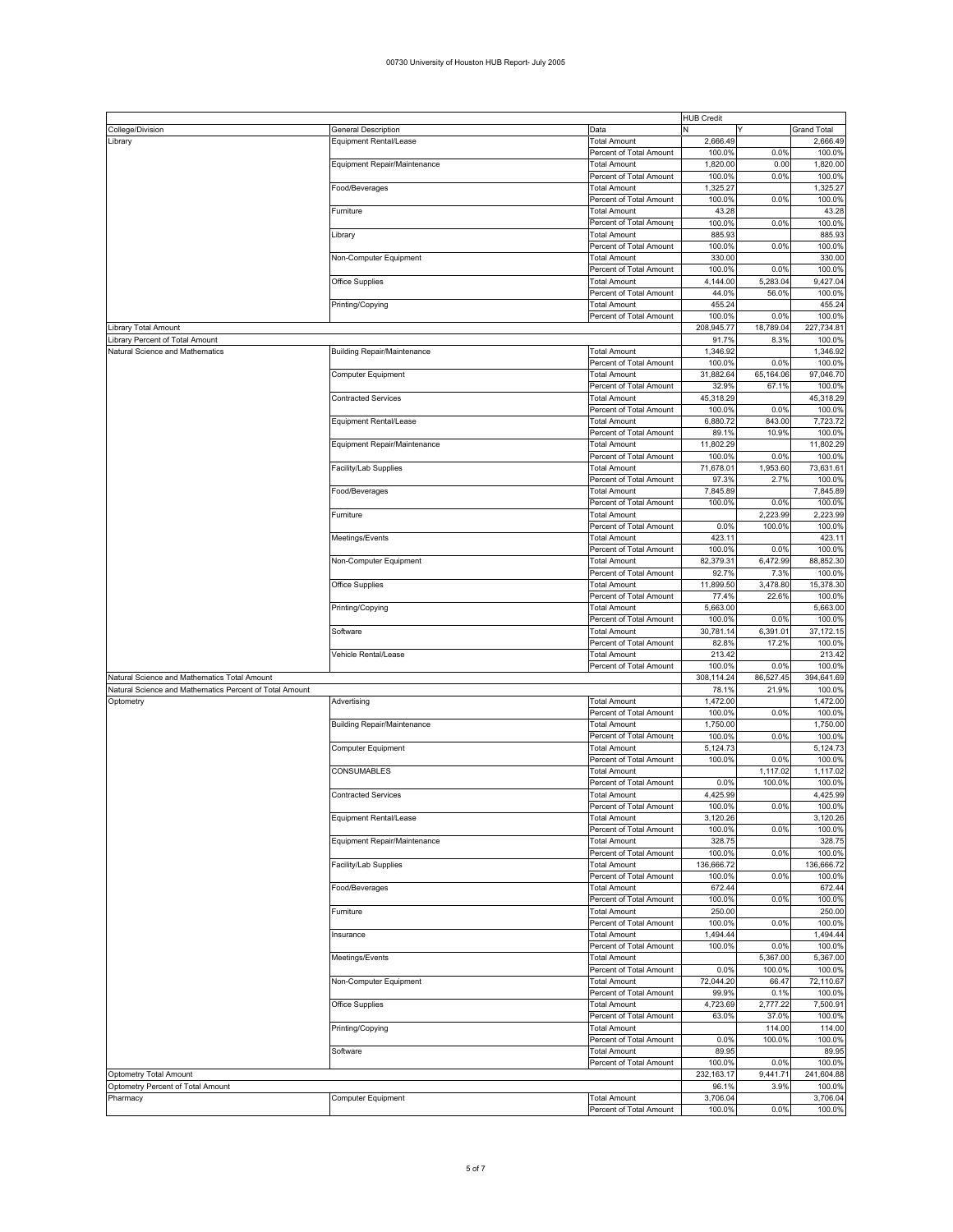|                                                         |                                    |                                                | <b>HUB Credit</b>  |           |                    |
|---------------------------------------------------------|------------------------------------|------------------------------------------------|--------------------|-----------|--------------------|
| College/Division                                        | General Description                | Data                                           | N                  | ٧         | <b>Grand Total</b> |
| Library                                                 | Equipment Rental/Lease             | <b>Total Amount</b>                            | 2,666.49           |           | 2,666.49           |
|                                                         |                                    | Percent of Total Amount                        | 100.0%             | 0.0%      | 100.0%             |
|                                                         | Equipment Repair/Maintenance       | <b>Total Amount</b>                            | 1,820.00           | 0.00      | 1,820.00           |
|                                                         |                                    | Percent of Total Amount                        | 100.0%             | 0.0%      | 100.0%             |
|                                                         | Food/Beverages                     | <b>Total Amount</b>                            | 1,325.27           |           | 1,325.27           |
|                                                         |                                    | Percent of Total Amount                        | 100.0%             | 0.0%      | 100.0%             |
|                                                         | Furniture                          | <b>Total Amount</b>                            | 43.28              |           | 43.28              |
|                                                         |                                    |                                                |                    |           |                    |
|                                                         |                                    | Percent of Total Amount                        | 100.0%             | 0.0%      | 100.0%             |
|                                                         | Library                            | <b>Total Amount</b>                            | 885.93             |           | 885.93             |
|                                                         |                                    | Percent of Total Amount                        | 100.0%             | 0.0%      | 100.0%             |
|                                                         | Non-Computer Equipment             | <b>Total Amount</b>                            | 330.00             |           | 330.00             |
|                                                         |                                    | Percent of Total Amount                        | 100.0%             | 0.0%      | 100.0%             |
|                                                         | Office Supplies                    | Total Amount                                   | 4,144.00           | 5,283.04  | 9,427.04           |
|                                                         |                                    | Percent of Total Amount                        | 44.0%              | 56.0%     | 100.0%             |
|                                                         | Printing/Copying                   | <b>Total Amount</b>                            | 455.24             |           | 455.24             |
|                                                         |                                    | Percent of Total Amount                        | 100.0%             | 0.0%      | 100.0%             |
| Library Total Amount                                    |                                    |                                                | 208,945.77         | 18,789.04 | 227,734.81         |
| Library Percent of Total Amount                         |                                    |                                                | 91.7%              | 8.3%      | 100.0%             |
| Natural Science and Mathematics                         |                                    | <b>Total Amount</b>                            | 1,346.92           |           | 1,346.92           |
|                                                         | <b>Building Repair/Maintenance</b> |                                                |                    |           |                    |
|                                                         |                                    | Percent of Total Amount                        | 100.0%             | 0.0%      | 100.0%             |
|                                                         | Computer Equipment                 | <b>Total Amount</b>                            | 31,882.64          | 65,164.06 | 97,046.70          |
|                                                         |                                    | Percent of Total Amount                        | 32.9%              | 67.1%     | 100.0%             |
|                                                         | <b>Contracted Services</b>         | <b>Total Amount</b>                            | 45,318.29          |           | 45,318.29          |
|                                                         |                                    | Percent of Total Amount                        | 100.0%             | 0.0%      | 100.0%             |
|                                                         | Equipment Rental/Lease             | <b>Total Amount</b>                            | 6,880.72           | 843.00    | 7,723.72           |
|                                                         |                                    | Percent of Total Amount                        | 89.1%              | 10.9%     | 100.0%             |
|                                                         | Equipment Repair/Maintenance       | <b>Total Amount</b>                            | 11,802.29          |           | 11,802.29          |
|                                                         |                                    | Percent of Total Amount                        | 100.0%             | 0.0%      | 100.0%             |
|                                                         | Facility/Lab Supplies              | <b>Total Amount</b>                            | 71,678.01          | 1,953.60  | 73,631.61          |
|                                                         |                                    | Percent of Total Amount                        | 97.3%              | 2.7%      | 100.0%             |
|                                                         | Food/Beverages                     | <b>Total Amount</b>                            | 7,845.89           |           | 7,845.89           |
|                                                         |                                    |                                                |                    |           |                    |
|                                                         |                                    | Percent of Total Amount                        | 100.0%             | 0.0%      | 100.0%             |
|                                                         | Furniture                          | <b>Total Amount</b>                            |                    | 2,223.99  | 2.223.99           |
|                                                         |                                    | Percent of Total Amount                        | 0.0%               | 100.0%    | 100.0%             |
|                                                         | Meetings/Events                    | <b>Total Amount</b>                            | 423.11             |           | 423.11             |
|                                                         |                                    | Percent of Total Amount                        | 100.0%             | 0.0%      | 100.0%             |
|                                                         | Non-Computer Equipment             | <b>Total Amount</b>                            | 82,379.31          | 6,472.99  | 88,852.30          |
|                                                         |                                    | Percent of Total Amount                        | 92.7%              | 7.3%      | 100.0%             |
|                                                         | Office Supplies                    | <b>Total Amount</b>                            | 11,899.50          | 3,478.80  | 15,378.30          |
|                                                         |                                    | Percent of Total Amount                        | 77.4%              | 22.6%     | 100.0%             |
|                                                         | Printing/Copying                   | <b>Total Amount</b>                            | 5,663.00           |           | 5,663.00           |
|                                                         |                                    |                                                |                    |           |                    |
|                                                         |                                    |                                                |                    |           |                    |
|                                                         |                                    | Percent of Total Amount                        | 100.0%             | 0.0%      | 100.0%             |
|                                                         | Software                           | <b>Total Amount</b>                            | 30,781.14          | 6,391.01  | 37, 172. 15        |
|                                                         |                                    | Percent of Total Amount                        | 82.8%              | 17.2%     | 100.0%             |
|                                                         | Vehicle Rental/Lease               | <b>Total Amount</b>                            | 213.42             |           | 213.42             |
|                                                         |                                    | Percent of Total Amount                        | 100.0%             | 0.0%      | 100.0%             |
| Natural Science and Mathematics Total Amount            |                                    |                                                | 308,114.24         | 86,527.45 | 394,641.69         |
| Natural Science and Mathematics Percent of Total Amount |                                    |                                                | 78.1%              | 21.9%     | 100.0%             |
| Optometry                                               | Advertising                        | <b>Total Amount</b>                            | 1,472.00           |           | 1,472.00           |
|                                                         |                                    | Percent of Total Amount                        | 100.0%             | 0.0%      | 100.0%             |
|                                                         |                                    | <b>Total Amount</b>                            | 1,750.00           |           | 1,750.00           |
|                                                         | <b>Building Repair/Maintenance</b> |                                                |                    |           |                    |
|                                                         |                                    | Percent of Total Amount                        | 100.0%             | 0.0%      | 100.0%             |
|                                                         | Computer Equipment                 | <b>Total Amount</b>                            | 5,124.73           |           | 5,124.73           |
|                                                         |                                    | Percent of Total Amount                        | 100.0%             | 0.0%      | 100.0%             |
|                                                         | <b>CONSUMABLES</b>                 | <b>Total Amount</b>                            |                    | 1,117.02  | 1,117.02           |
|                                                         |                                    | Percent of Total Amount                        | 0.0%               | 100.0%    | 100.0%             |
|                                                         | <b>Contracted Services</b>         | <b>Total Amount</b>                            | 4,425.99           |           | 4,425.99           |
|                                                         |                                    | Percent of Total Amount                        | 100.0%             | 0.0%      | 100.0%             |
|                                                         | Equipment Rental/Lease             | Total Amount                                   | 3,120.26           |           | 3,120.26           |
|                                                         |                                    | Percent of Total Amount                        | 100.0%             | 0.0%      | 100.0%             |
|                                                         | Equipment Repair/Maintenance       | <b>Total Amount</b>                            | 328.75             |           | 328.75             |
|                                                         |                                    | Percent of Total Amount                        | 100.0%             | 0.0%      | 100.0%             |
|                                                         | Facility/Lab Supplies              | Total Amount                                   | 136,666.72         |           | 136,666.72         |
|                                                         |                                    | Percent of Total Amount                        | 100.0%             | 0.0%      | 100.0%             |
|                                                         |                                    | <b>Total Amount</b>                            | 672.44             |           | 672.44             |
|                                                         | Food/Beverages                     |                                                |                    |           |                    |
|                                                         |                                    | Percent of Total Amount                        | 100.0%             | 0.0%      | 100.0%             |
|                                                         | Furniture                          | <b>Total Amount</b>                            | 250.00             |           | 250.00             |
|                                                         |                                    | Percent of Total Amount                        | 100.0%             | 0.0%      | 100.0%             |
|                                                         | Insurance                          | <b>Total Amount</b>                            | 1,494.44           |           | 1,494.44           |
|                                                         |                                    | Percent of Total Amount                        | 100.0%             | 0.0%      | 100.0%             |
|                                                         | Meetings/Events                    | <b>Total Amount</b>                            |                    | 5,367.00  | 5,367.00           |
|                                                         |                                    | Percent of Total Amount                        | 0.0%               | 100.0%    | 100.0%             |
|                                                         | Non-Computer Equipment             | <b>Total Amount</b>                            | 72,044.20          | 66.47     | 72,110.67          |
|                                                         |                                    | Percent of Total Amount                        | 99.9%              | 0.1%      | 100.0%             |
|                                                         | Office Supplies                    | <b>Total Amount</b>                            | 4,723.69           | 2,777.22  | 7,500.91           |
|                                                         |                                    | Percent of Total Amount                        | 63.0%              | 37.0%     | 100.0%             |
|                                                         | Printing/Copying                   | Total Amount                                   |                    | 114.00    | 114.00             |
|                                                         |                                    | Percent of Total Amount                        | 0.0%               | 100.0%    | 100.0%             |
|                                                         |                                    |                                                |                    |           |                    |
|                                                         | Software                           | <b>Total Amount</b>                            | 89.95              |           | 89.95              |
|                                                         |                                    | Percent of Total Amount                        | 100.0%             | 0.0%      | 100.0%             |
| Optometry Total Amount                                  |                                    |                                                | 232, 163. 17       | 9,441.71  | 241,604.88         |
| Optometry Percent of Total Amount                       |                                    |                                                | 96.1%              | 3.9%      | 100.0%             |
| Pharmacy                                                | Computer Equipment                 | <b>Total Amount</b><br>Percent of Total Amount | 3,706.04<br>100.0% | 0.0%      | 3,706.04<br>100.0% |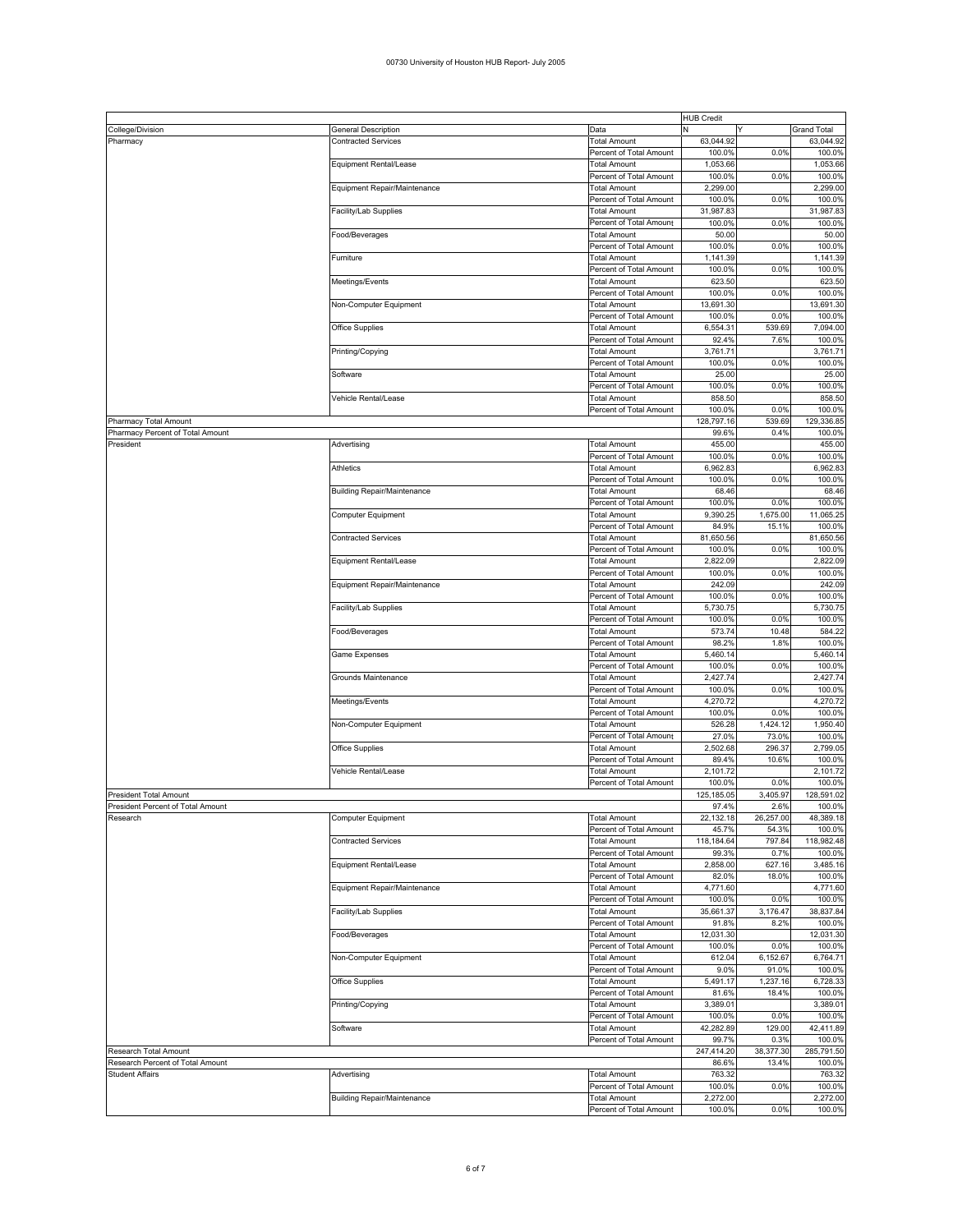|                                   |                                    |                         | <b>HUB Credit</b> |           |                    |
|-----------------------------------|------------------------------------|-------------------------|-------------------|-----------|--------------------|
| College/Division                  | General Description                | Data                    | Ν<br>Y            |           | <b>Grand Total</b> |
| Pharmacy                          | <b>Contracted Services</b>         | <b>Total Amount</b>     | 63,044.92         |           | 63,044.92          |
|                                   |                                    | Percent of Total Amount | 100.0%            | 0.0%      | 100.0%             |
|                                   | Equipment Rental/Lease             | Total Amount            | 1,053.66          |           | 1,053.66           |
|                                   |                                    | Percent of Total Amount | 100.0%            | 0.0%      | 100.0%             |
|                                   | Equipment Repair/Maintenance       | <b>Total Amount</b>     | 2,299.00          |           | 2,299.00           |
|                                   |                                    | Percent of Total Amount | 100.0%            | 0.0%      | 100.0%             |
|                                   |                                    |                         |                   |           |                    |
|                                   | Facility/Lab Supplies              | Total Amount            | 31,987.83         |           | 31,987.83          |
|                                   |                                    | Percent of Total Amount | 100.0%            | 0.0%      | 100.0%             |
|                                   | ood/Beverages                      | <b>Total Amount</b>     | 50.00             |           | 50.00              |
|                                   |                                    | Percent of Total Amount | 100.0%            | 0.0%      | 100.0%             |
|                                   | Furniture                          | Total Amount            | 1,141.39          |           | 1,141.39           |
|                                   |                                    | Percent of Total Amount | 100.0%            | 0.0%      | 100.0%             |
|                                   | Meetings/Events                    | Total Amount            | 623.50            |           | 623.50             |
|                                   |                                    | Percent of Total Amount | 100.0%            | 0.0%      | 100.0%             |
|                                   | Non-Computer Equipment             | Total Amount            | 13,691.30         |           | 13,691.30          |
|                                   |                                    | Percent of Total Amount | 100.0%            | 0.0%      | 100.0%             |
|                                   | Office Supplies                    | Total Amount            | 6,554.31          | 539.69    | 7,094.00           |
|                                   |                                    | Percent of Total Amount | 92.4%             | 7.6%      | 100.0%             |
|                                   |                                    |                         |                   |           |                    |
|                                   | Printing/Copying                   | Total Amount            | 3,761.71          |           | 3,761.71           |
|                                   |                                    | Percent of Total Amount | 100.0%            | 0.0%      | 100.0%             |
|                                   | Software                           | <b>Total Amount</b>     | 25.00             |           | 25.00              |
|                                   |                                    | Percent of Total Amount | 100.0%            | 0.0%      | 100.0%             |
|                                   | Vehicle Rental/Lease               | Total Amount            | 858.50            |           | 858.50             |
|                                   |                                    | Percent of Total Amount | 100.0%            | 0.0%      | 100.0%             |
| Pharmacy Total Amount             |                                    |                         | 128,797.16        | 539.69    | 129,336.85         |
| Pharmacy Percent of Total Amount  |                                    |                         | 99.6%             | 0.4%      | 100.0%             |
| President                         | Advertising                        | Total Amount            | 455.00            |           | 455.00             |
|                                   |                                    | Percent of Total Amount | 100.0%            | 0.0%      | 100.0%             |
|                                   |                                    |                         |                   |           |                    |
|                                   | Athletics                          | Total Amount            | 6,962.83          |           | 6,962.83           |
|                                   |                                    | Percent of Total Amount | 100.0%            | 0.0%      | 100.0%             |
|                                   | <b>Building Repair/Maintenance</b> | Total Amount            | 68.46             |           | 68.46              |
|                                   |                                    | Percent of Total Amount | 100.0%            | 0.0%      | 100.0%             |
|                                   | Computer Equipment                 | Total Amount            | 9,390.25          | 1,675.00  | 11,065.25          |
|                                   |                                    | Percent of Total Amount | 84.9%             | 15.1%     | 100.0%             |
|                                   | <b>Contracted Services</b>         | Total Amount            | 81,650.56         |           | 81,650.56          |
|                                   |                                    | Percent of Total Amount | 100.0%            | 0.0%      | 100.0%             |
|                                   | Equipment Rental/Lease             | <b>Total Amount</b>     | 2.822.09          |           | 2,822.09           |
|                                   |                                    | Percent of Total Amount | 100.0%            | 0.0%      | 100.0%             |
|                                   | Equipment Repair/Maintenance       | Total Amount            | 242.09            |           | 242.09             |
|                                   |                                    |                         |                   | 0.0%      | 100.0%             |
|                                   |                                    | Percent of Total Amount | 100.0%            |           |                    |
|                                   | acility/Lab Supplies               | Total Amount            | 5,730.75          |           | 5,730.75           |
|                                   |                                    | Percent of Total Amount | 100.0%            | 0.0%      | 100.0%             |
|                                   | Food/Beverages                     | Total Amount            | 573.74            | 10.48     | 584.22             |
|                                   |                                    | Percent of Total Amount | 98.2%             | 1.8%      | 100.0%             |
|                                   | Game Expenses                      | Total Amount            | 5,460.14          |           | 5,460.14           |
|                                   |                                    | Percent of Total Amount | 100.0%            | 0.0%      | 100.0%             |
|                                   | Grounds Maintenance                | Total Amount            | 2,427.74          |           | 2,427.74           |
|                                   |                                    | Percent of Total Amount | 100.0%            | 0.0%      | 100.0%             |
|                                   |                                    |                         | 4,270.72          |           | 4,270.72           |
|                                   | Meetings/Events                    | Total Amount            |                   |           |                    |
|                                   |                                    | Percent of Total Amount | 100.0%            | 0.0%      | 100.0%             |
|                                   | Non-Computer Equipment             | Total Amount            | 526.28            | 1,424.12  | 1,950.40           |
|                                   |                                    | Percent of Total Amount | 27.0%             | 73.0%     | 100.0%             |
|                                   | Office Supplies                    | Total Amount            | 2,502.68          | 296.37    | 2,799.05           |
|                                   |                                    | Percent of Total Amount | 89.4%             | 10.6%     | 100.0%             |
|                                   | Vehicle Rental/Lease               | Total Amount            | 2,101.72          |           | 2,101.72           |
|                                   |                                    | Percent of Total Amount | 100.0%            | 0.0%      | 100.0%             |
| <b>President Total Amount</b>     |                                    |                         | 125,185.05        | 3,405.97  | 128,591.02         |
| President Percent of Total Amount |                                    |                         | 97.4%             | 2.6%      | 100.0%             |
| Research                          | Computer Equipment                 | <b>Total Amount</b>     | 22,132.18         | 26,257.00 | 48,389.18          |
|                                   |                                    |                         | 45.7%             | 54.3%     | 100.0%             |
|                                   |                                    | Percent of Total Amount |                   |           |                    |
|                                   | <b>Contracted Services</b>         | <b>Total Amount</b>     | 118,184.64        | 797.84    | 118,982.48         |
|                                   |                                    | Percent of Total Amount | 99.3%             | 0.7%      | 100.0%             |
|                                   | Equipment Rental/Lease             | <b>Total Amount</b>     | 2,858.00          | 627.16    | 3,485.16           |
|                                   |                                    | Percent of Total Amount | 82.0%             | 18.0%     | 100.0%             |
|                                   | Equipment Repair/Maintenance       | <b>Total Amount</b>     | 4,771.60          |           | 4,771.60           |
|                                   |                                    | Percent of Total Amount | 100.0%            | 0.0%      | 100.0%             |
|                                   | acility/Lab Supplies               | <b>Total Amount</b>     | 35,661.37         | 3,176.47  | 38,837.84          |
|                                   |                                    | Percent of Total Amount | 91.8%             | 8.2%      | 100.0%             |
|                                   | Food/Beverages                     | <b>Total Amount</b>     | 12,031.30         |           | 12,031.30          |
|                                   |                                    | Percent of Total Amount | 100.0%            | 0.0%      | 100.0%             |
|                                   |                                    |                         | 612.04            | 6,152.67  | 6,764.71           |
|                                   | Non-Computer Equipment             | <b>Total Amount</b>     |                   |           |                    |
|                                   |                                    | Percent of Total Amount | 9.0%              | 91.0%     | 100.0%             |
|                                   | Office Supplies                    | Total Amount            | 5,491.17          | 1,237.16  | 6,728.33           |
|                                   |                                    | Percent of Total Amount | 81.6%             | 18.4%     | 100.0%             |
|                                   | Printing/Copying                   | <b>Total Amount</b>     | 3,389.01          |           | 3,389.01           |
|                                   |                                    | Percent of Total Amount | 100.0%            | 0.0%      | 100.0%             |
|                                   | Software                           | <b>Total Amount</b>     | 42,282.89         | 129.00    | 42,411.89          |
|                                   |                                    | Percent of Total Amount | 99.7%             | 0.3%      | 100.0%             |
| Research Total Amount             |                                    |                         | 247,414.20        | 38,377.30 | 285,791.50         |
| Research Percent of Total Amount  |                                    |                         | 86.6%             | 13.4%     | 100.0%             |
| <b>Student Affairs</b>            |                                    | <b>Total Amount</b>     | 763.32            |           | 763.32             |
|                                   | Advertising                        |                         |                   |           |                    |
|                                   |                                    | Percent of Total Amount | 100.0%            | 0.0%      | 100.0%             |
|                                   | <b>Building Repair/Maintenance</b> | <b>Total Amount</b>     | 2,272.00          |           | 2,272.00           |
|                                   |                                    | Percent of Total Amount | 100.0%            | 0.0%      | 100.0%             |